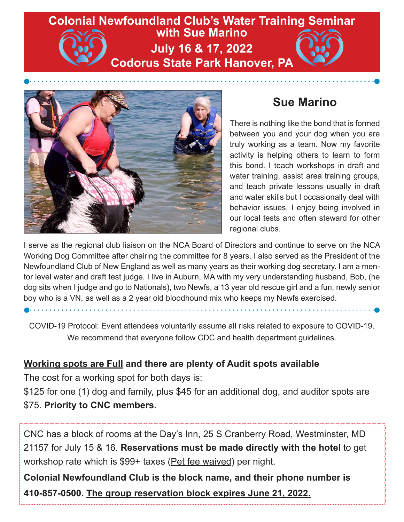# **Colonial Newfoundland Club's Water Training Seminar with Sue Marino July 16 & 17, 2022 Codorus State Park Hanover, PA**



## **Sue Marino**

There is nothing like the bond that is formed between you and your dog when you are truly working as a team. Now my favorite activity is helping others to learn to form this bond. I teach workshops in draft and water training, assist area training groups, and teach private lessons usually in draft and water skills but I occasionally deal with behavior issues. I enjoy being involved in our local tests and often steward for other regional clubs.

I serve as the regional club liaison on the NCA Board of Directors and continue to serve on the NCA Working Dog Committee after chairing the committee for 8 years. I also served as the President of the Newfoundland Club of New England as well as many years as their working dog secretary. I am a mentor level water and draft test judge. I live in Auburn, MA with my very understanding husband, Bob, (he dog sits when I judge and go to Nationals), two Newfs, a 13 year old rescue girl and a fun, newly senior boy who is a VN, as well as a 2 year old bloodhound mix who keeps my Newfs exercised.

COVID-19 Protocol: Event attendees voluntarily assume all risks related to exposure to COVID-19. We recommend that everyone follow CDC and health department guidelines.

#### **Working spots are Full and there are plenty of Audit spots available**

The cost for a working spot for both days is:

\$125 for one (1) dog and family, plus \$45 for an additional dog, and auditor spots are \$75. **Priority to CNC members.**

CNC has a block of rooms at the Day's Inn, 25 S Cranberry Road, Westminster, MD 21157 for July 15 & 16. **Reservations must be made directly with the hotel** to get workshop rate which is \$99+ taxes (Pet fee waived) per night.

**Colonial Newfoundland Club is the block name, and their phone number is 410-857-0500. The group reservation block expires June 21, 2022.**